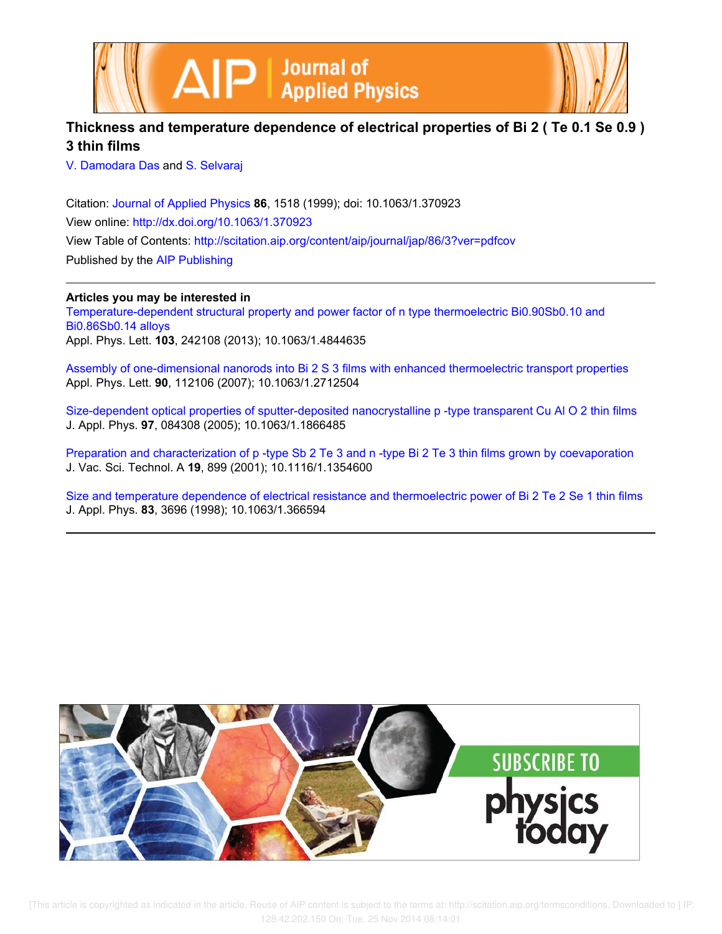



## **Thickness and temperature dependence of electrical properties of Bi 2 ( Te 0.1 Se 0.9 ) 3 thin films**

V. Damodara Das and S. Selvaraj

Citation: Journal of Applied Physics **86**, 1518 (1999); doi: 10.1063/1.370923 View online: http://dx.doi.org/10.1063/1.370923 View Table of Contents: http://scitation.aip.org/content/aip/journal/jap/86/3?ver=pdfcov Published by the AIP Publishing

**Articles you may be interested in**

Temperature-dependent structural property and power factor of n type thermoelectric Bi0.90Sb0.10 and Bi0.86Sb0.14 alloys Appl. Phys. Lett. **103**, 242108 (2013); 10.1063/1.4844635

Assembly of one-dimensional nanorods into Bi 2 S 3 films with enhanced thermoelectric transport properties Appl. Phys. Lett. **90**, 112106 (2007); 10.1063/1.2712504

Size-dependent optical properties of sputter-deposited nanocrystalline p -type transparent Cu Al O 2 thin films J. Appl. Phys. **97**, 084308 (2005); 10.1063/1.1866485

Preparation and characterization of p -type Sb 2 Te 3 and n -type Bi 2 Te 3 thin films grown by coevaporation J. Vac. Sci. Technol. A **19**, 899 (2001); 10.1116/1.1354600

Size and temperature dependence of electrical resistance and thermoelectric power of Bi 2 Te 2 Se 1 thin films J. Appl. Phys. **83**, 3696 (1998); 10.1063/1.366594

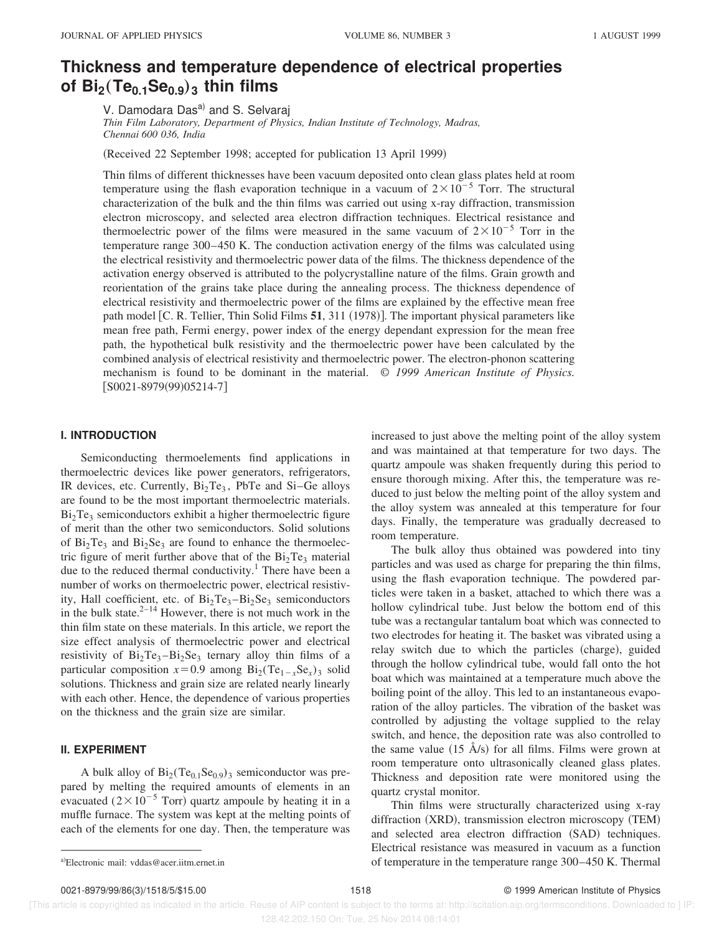# **Thickness and temperature dependence of electrical properties of Bi<sup>2</sup>** "**Te0.1Se0.9**…**<sup>3</sup> thin films**

V. Damodara Das<sup>a)</sup> and S. Selvaraj

*Thin Film Laboratory, Department of Physics, Indian Institute of Technology, Madras, Chennai 600 036, India*

(Received 22 September 1998; accepted for publication 13 April 1999)

Thin films of different thicknesses have been vacuum deposited onto clean glass plates held at room temperature using the flash evaporation technique in a vacuum of  $2\times10^{-5}$  Torr. The structural characterization of the bulk and the thin films was carried out using x-ray diffraction, transmission electron microscopy, and selected area electron diffraction techniques. Electrical resistance and thermoelectric power of the films were measured in the same vacuum of  $2\times10^{-5}$  Torr in the temperature range 300–450 K. The conduction activation energy of the films was calculated using the electrical resistivity and thermoelectric power data of the films. The thickness dependence of the activation energy observed is attributed to the polycrystalline nature of the films. Grain growth and reorientation of the grains take place during the annealing process. The thickness dependence of electrical resistivity and thermoelectric power of the films are explained by the effective mean free path model [C. R. Tellier, Thin Solid Films **51**, 311 (1978)]. The important physical parameters like mean free path, Fermi energy, power index of the energy dependant expression for the mean free path, the hypothetical bulk resistivity and the thermoelectric power have been calculated by the combined analysis of electrical resistivity and thermoelectric power. The electron-phonon scattering mechanism is found to be dominant in the material. © *1999 American Institute of Physics.*  $[$ S0021-8979(99)05214-7 $]$ 

#### **I. INTRODUCTION**

Semiconducting thermoelements find applications in thermoelectric devices like power generators, refrigerators, IR devices, etc. Currently,  $Bi_2Te_3$ , PbTe and Si-Ge alloys are found to be the most important thermoelectric materials. Bi<sub>2</sub>Te<sub>3</sub> semiconductors exhibit a higher thermoelectric figure of merit than the other two semiconductors. Solid solutions of  $Bi<sub>2</sub>Te<sub>3</sub>$  and  $Bi<sub>2</sub>Se<sub>3</sub>$  are found to enhance the thermoelectric figure of merit further above that of the  $Bi<sub>2</sub>Te<sub>3</sub>$  material due to the reduced thermal conductivity.<sup>1</sup> There have been a number of works on thermoelectric power, electrical resistivity, Hall coefficient, etc. of  $Bi_2Te_3 - Bi_2Se_3$  semiconductors in the bulk state. $2^{-14}$  However, there is not much work in the thin film state on these materials. In this article, we report the size effect analysis of thermoelectric power and electrical resistivity of  $Bi_2Te_3-Bi_2Se_3$  ternary alloy thin films of a particular composition  $x=0.9$  among  $\text{Bi}_2(\text{Te}_{1-x}\text{Se}_x)$ <sub>3</sub> solid solutions. Thickness and grain size are related nearly linearly with each other. Hence, the dependence of various properties on the thickness and the grain size are similar.

#### **II. EXPERIMENT**

A bulk alloy of  $Bi_2(Te_{0.1}Se_{0.9})_3$  semiconductor was prepared by melting the required amounts of elements in an evacuated  $(2 \times 10^{-5}$  Torr) quartz ampoule by heating it in a muffle furnace. The system was kept at the melting points of each of the elements for one day. Then, the temperature was increased to just above the melting point of the alloy system and was maintained at that temperature for two days. The quartz ampoule was shaken frequently during this period to ensure thorough mixing. After this, the temperature was reduced to just below the melting point of the alloy system and the alloy system was annealed at this temperature for four days. Finally, the temperature was gradually decreased to room temperature.

The bulk alloy thus obtained was powdered into tiny particles and was used as charge for preparing the thin films, using the flash evaporation technique. The powdered particles were taken in a basket, attached to which there was a hollow cylindrical tube. Just below the bottom end of this tube was a rectangular tantalum boat which was connected to two electrodes for heating it. The basket was vibrated using a relay switch due to which the particles (charge), guided through the hollow cylindrical tube, would fall onto the hot boat which was maintained at a temperature much above the boiling point of the alloy. This led to an instantaneous evaporation of the alloy particles. The vibration of the basket was controlled by adjusting the voltage supplied to the relay switch, and hence, the deposition rate was also controlled to the same value  $(15 \text{ Å/s})$  for all films. Films were grown at room temperature onto ultrasonically cleaned glass plates. Thickness and deposition rate were monitored using the quartz crystal monitor.

Thin films were structurally characterized using x-ray diffraction (XRD), transmission electron microscopy (TEM) and selected area electron diffraction  $(SAD)$  techniques. Electrical resistance was measured in vacuum as a function  $a)$ Electronic mail: vddas@acer.iitm.ernet.in contract also example at the temperature in the temperature range  $300-450$  K. Thermal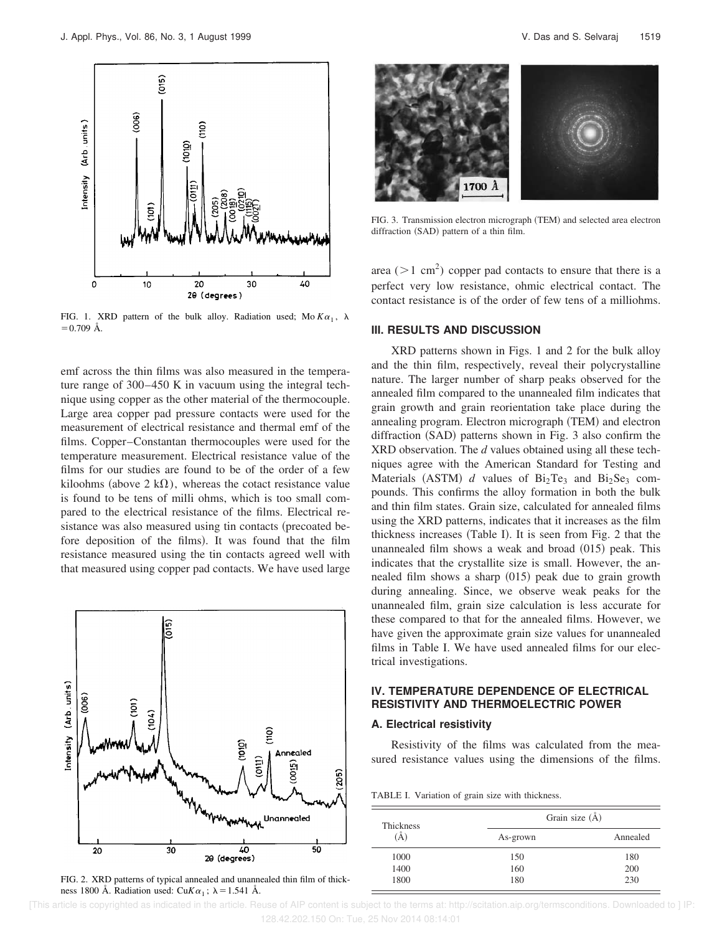

FIG. 1. XRD pattern of the bulk alloy. Radiation used; Mo  $K\alpha_1$ ,  $\lambda$  $= 0.709$  Å.

emf across the thin films was also measured in the temperature range of 300–450 K in vacuum using the integral technique using copper as the other material of the thermocouple. Large area copper pad pressure contacts were used for the measurement of electrical resistance and thermal emf of the films. Copper–Constantan thermocouples were used for the temperature measurement. Electrical resistance value of the films for our studies are found to be of the order of a few kiloohms (above 2 k $\Omega$ ), whereas the cotact resistance value is found to be tens of milli ohms, which is too small compared to the electrical resistance of the films. Electrical resistance was also measured using tin contacts (precoated before deposition of the films). It was found that the film resistance measured using the tin contacts agreed well with that measured using copper pad contacts. We have used large



FIG. 2. XRD patterns of typical annealed and unannealed thin film of thickness 1800 Å. Radiation used: Cu $K\alpha_1$ ;  $\lambda = 1.541$  Å.



FIG. 3. Transmission electron micrograph (TEM) and selected area electron diffraction (SAD) pattern of a thin film.

area ( $>1$  cm<sup>2</sup>) copper pad contacts to ensure that there is a perfect very low resistance, ohmic electrical contact. The contact resistance is of the order of few tens of a milliohms.

#### **III. RESULTS AND DISCUSSION**

XRD patterns shown in Figs. 1 and 2 for the bulk alloy and the thin film, respectively, reveal their polycrystalline nature. The larger number of sharp peaks observed for the annealed film compared to the unannealed film indicates that grain growth and grain reorientation take place during the annealing program. Electron micrograph (TEM) and electron diffraction  $(SAD)$  patterns shown in Fig. 3 also confirm the XRD observation. The *d* values obtained using all these techniques agree with the American Standard for Testing and Materials (ASTM) *d* values of  $Bi_2Te_3$  and  $Bi_2Se_3$  compounds. This confirms the alloy formation in both the bulk and thin film states. Grain size, calculated for annealed films using the XRD patterns, indicates that it increases as the film thickness increases (Table I). It is seen from Fig. 2 that the unannealed film shows a weak and broad  $(015)$  peak. This indicates that the crystallite size is small. However, the annealed film shows a sharp  $(015)$  peak due to grain growth during annealing. Since, we observe weak peaks for the unannealed film, grain size calculation is less accurate for these compared to that for the annealed films. However, we have given the approximate grain size values for unannealed films in Table I. We have used annealed films for our electrical investigations.

#### **IV. TEMPERATURE DEPENDENCE OF ELECTRICAL RESISTIVITY AND THERMOELECTRIC POWER**

#### **A. Electrical resistivity**

Resistivity of the films was calculated from the measured resistance values using the dimensions of the films.

TABLE I. Variation of grain size with thickness.

| <b>Thickness</b><br>A | Grain size $(\AA)$ |          |  |
|-----------------------|--------------------|----------|--|
|                       | As-grown           | Annealed |  |
| 1000                  | 150                | 180      |  |
| 1400                  | 160                | 200      |  |
| 1800                  | 180                | 230      |  |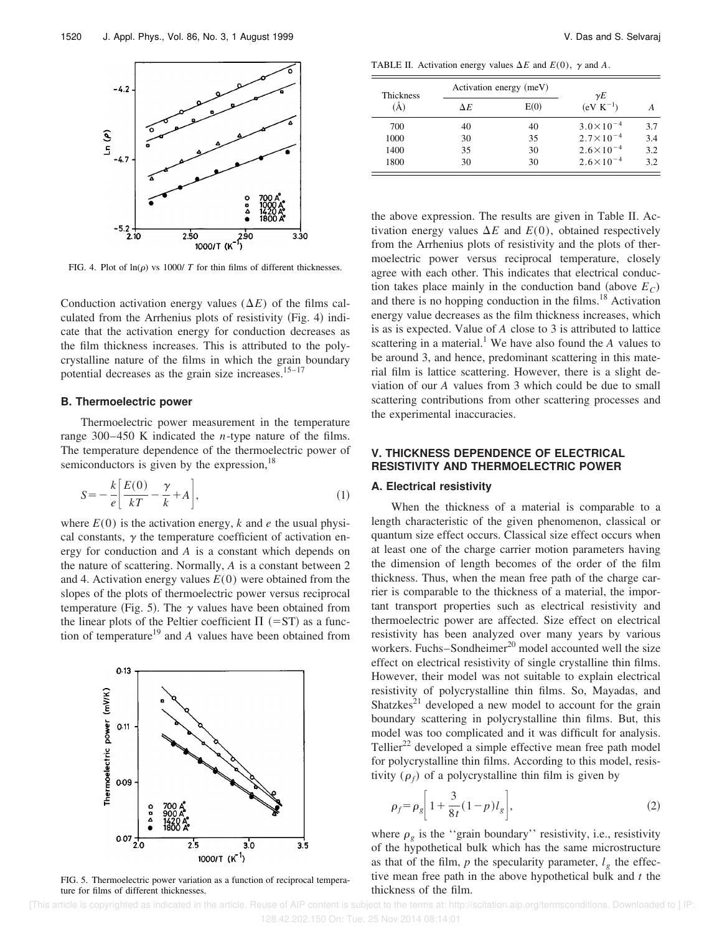

FIG. 4. Plot of  $ln(\rho)$  vs 1000/ *T* for thin films of different thicknesses.

Conduction activation energy values  $(\Delta E)$  of the films calculated from the Arrhenius plots of resistivity  $(Fig. 4)$  indicate that the activation energy for conduction decreases as the film thickness increases. This is attributed to the polycrystalline nature of the films in which the grain boundary potential decreases as the grain size increases. $15-17$ 

#### **B. Thermoelectric power**

Thermoelectric power measurement in the temperature range 300–450 K indicated the *n*-type nature of the films. The temperature dependence of the thermoelectric power of semiconductors is given by the expression,<sup>18</sup>

$$
S = -\frac{k}{e} \left[ \frac{E(0)}{kT} - \frac{\gamma}{k} + A \right],\tag{1}
$$

where  $E(0)$  is the activation energy,  $k$  and  $e$  the usual physical constants,  $\gamma$  the temperature coefficient of activation energy for conduction and *A* is a constant which depends on the nature of scattering. Normally, *A* is a constant between 2 and 4. Activation energy values  $E(0)$  were obtained from the slopes of the plots of thermoelectric power versus reciprocal temperature (Fig. 5). The  $\gamma$  values have been obtained from the linear plots of the Peltier coefficient  $\Pi$  (=ST) as a function of temperature<sup>19</sup> and  $A$  values have been obtained from



FIG. 5. Thermoelectric power variation as a function of reciprocal temperature for films of different thicknesses.

TABLE II. Activation energy values  $\Delta E$  and  $E(0)$ ,  $\gamma$  and  $A$ .

| <b>Thickness</b><br>$\rm(\AA)$ |            | Activation energy (meV) | $\gamma E$           |     |
|--------------------------------|------------|-------------------------|----------------------|-----|
|                                | $\Delta E$ | E(0)                    | $(eV K^{-1})$        |     |
| 700                            | 40         | 40                      | $3.0 \times 10^{-4}$ | 3.7 |
| 1000                           | 30         | 35                      | $2.7 \times 10^{-4}$ | 3.4 |
| 1400                           | 35         | 30                      | $2.6 \times 10^{-4}$ | 3.2 |
| 1800                           | 30         | 30                      | $2.6 \times 10^{-4}$ | 3.2 |

the above expression. The results are given in Table II. Activation energy values  $\Delta E$  and  $E(0)$ , obtained respectively from the Arrhenius plots of resistivity and the plots of thermoelectric power versus reciprocal temperature, closely agree with each other. This indicates that electrical conduction takes place mainly in the conduction band (above  $E_C$ ) and there is no hopping conduction in the films. $18$  Activation energy value decreases as the film thickness increases, which is as is expected. Value of *A* close to 3 is attributed to lattice scattering in a material.<sup>1</sup> We have also found the  $A$  values to be around 3, and hence, predominant scattering in this material film is lattice scattering. However, there is a slight deviation of our *A* values from 3 which could be due to small scattering contributions from other scattering processes and the experimental inaccuracies.

## **V. THICKNESS DEPENDENCE OF ELECTRICAL RESISTIVITY AND THERMOELECTRIC POWER**

### **A. Electrical resistivity**

When the thickness of a material is comparable to a length characteristic of the given phenomenon, classical or quantum size effect occurs. Classical size effect occurs when at least one of the charge carrier motion parameters having the dimension of length becomes of the order of the film thickness. Thus, when the mean free path of the charge carrier is comparable to the thickness of a material, the important transport properties such as electrical resistivity and thermoelectric power are affected. Size effect on electrical resistivity has been analyzed over many years by various workers. Fuchs–Sondheimer $^{20}$  model accounted well the size effect on electrical resistivity of single crystalline thin films. However, their model was not suitable to explain electrical resistivity of polycrystalline thin films. So, Mayadas, and Shatzkes<sup>21</sup> developed a new model to account for the grain boundary scattering in polycrystalline thin films. But, this model was too complicated and it was difficult for analysis. Tellier<sup>22</sup> developed a simple effective mean free path model for polycrystalline thin films. According to this model, resistivity  $(\rho_f)$  of a polycrystalline thin film is given by

$$
\rho_f = \rho_g \bigg[ 1 + \frac{3}{8t} (1 - p) l_g \bigg],\tag{2}
$$

where  $\rho_g$  is the "grain boundary" resistivity, i.e., resistivity of the hypothetical bulk which has the same microstructure as that of the film,  $p$  the specularity parameter,  $l_g$  the effective mean free path in the above hypothetical bulk and *t* the thickness of the film.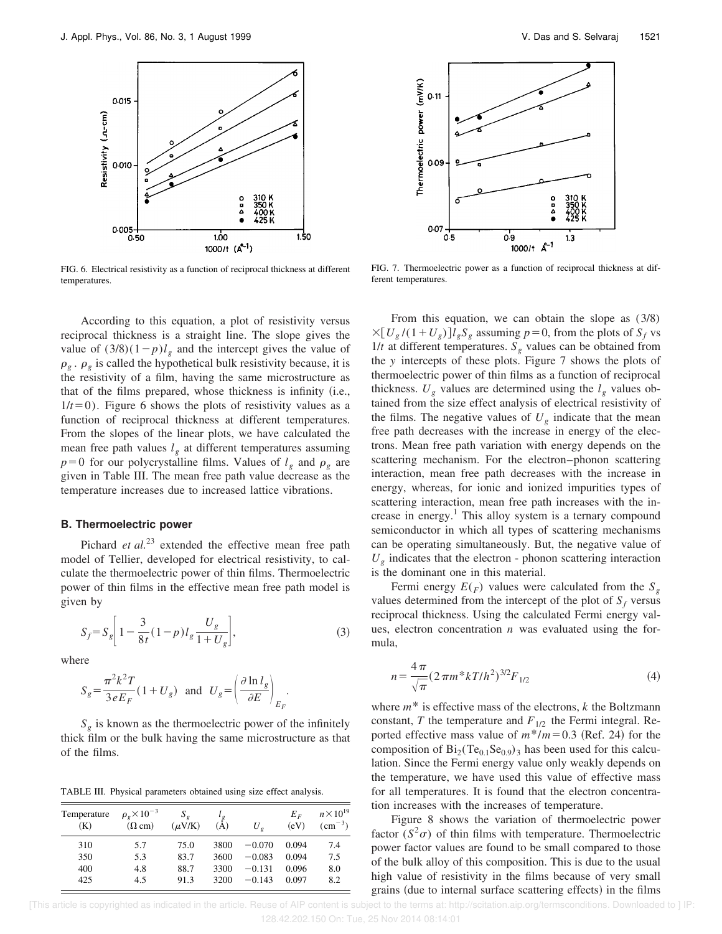

FIG. 6. Electrical resistivity as a function of reciprocal thickness at different temperatures.

According to this equation, a plot of resistivity versus reciprocal thickness is a straight line. The slope gives the value of  $(3/8)(1-p)l_g$  and the intercept gives the value of  $\rho_g$ .  $\rho_g$  is called the hypothetical bulk resistivity because, it is the resistivity of a film, having the same microstructure as that of the films prepared, whose thickness is infinity  $(i.e.,)$  $1/t=0$ ). Figure 6 shows the plots of resistivity values as a function of reciprocal thickness at different temperatures. From the slopes of the linear plots, we have calculated the mean free path values  $l<sub>g</sub>$  at different temperatures assuming  $p=0$  for our polycrystalline films. Values of  $l_g$  and  $\rho_g$  are given in Table III. The mean free path value decrease as the temperature increases due to increased lattice vibrations.

#### **B. Thermoelectric power**

Pichard *et al.*<sup>23</sup> extended the effective mean free path model of Tellier, developed for electrical resistivity, to calculate the thermoelectric power of thin films. Thermoelectric power of thin films in the effective mean free path model is given by

$$
S_f = S_g \left[ 1 - \frac{3}{8t} (1 - p) l_g \frac{U_g}{1 + U_g} \right],
$$
 (3)

where

$$
S_g = \frac{\pi^2 k^2 T}{3e E_F} (1 + U_g) \text{ and } U_g = \left(\frac{\partial \ln l_g}{\partial E}\right)_{E_F}.
$$

 $S_g$  is known as the thermoelectric power of the infinitely thick film or the bulk having the same microstructure as that of the films.

TABLE III. Physical parameters obtained using size effect analysis.

| Temperature<br>(K) | $\rho_e \times 10^{-3}$<br>$(\Omega$ cm) | $S_{\rho}$<br>$(\mu V/K)$ | (A)  | $U_{\alpha}$ | $E_F$<br>(eV) | $n \times 10^{19}$<br>$\rm (cm^{-3})$ |
|--------------------|------------------------------------------|---------------------------|------|--------------|---------------|---------------------------------------|
| 310                | 5.7                                      | 75.0                      | 3800 | $-0.070$     | 0.094         | 74                                    |
| 350                | 5.3                                      | 83.7                      | 3600 | $-0.083$     | 0.094         | 7.5                                   |
| 400                | 4.8                                      | 88.7                      | 3300 | $-0.131$     | 0.096         | 8.0                                   |
| 425                | 4.5                                      | 91.3                      | 3200 | $-0.143$     | 0.097         | 8.2                                   |



FIG. 7. Thermoelectric power as a function of reciprocal thickness at different temperatures.

From this equation, we can obtain the slope as (3/8)  $\times [U_g/(1+U_g)]\overline{I_g}S_g$  assuming  $p=0$ , from the plots of  $S_f$  vs 1/*t* at different temperatures.  $S_g$  values can be obtained from the *y* intercepts of these plots. Figure 7 shows the plots of thermoelectric power of thin films as a function of reciprocal thickness.  $U_g$  values are determined using the  $l_g$  values obtained from the size effect analysis of electrical resistivity of the films. The negative values of  $U_g$  indicate that the mean free path decreases with the increase in energy of the electrons. Mean free path variation with energy depends on the scattering mechanism. For the electron–phonon scattering interaction, mean free path decreases with the increase in energy, whereas, for ionic and ionized impurities types of scattering interaction, mean free path increases with the increase in energy.<sup>1</sup> This alloy system is a ternary compound semiconductor in which all types of scattering mechanisms can be operating simultaneously. But, the negative value of  $U_g$  indicates that the electron - phonon scattering interaction is the dominant one in this material.

Fermi energy  $E(F)$  values were calculated from the  $S_g$ values determined from the intercept of the plot of  $S_f$  versus reciprocal thickness. Using the calculated Fermi energy values, electron concentration *n* was evaluated using the formula,

$$
n = \frac{4\,\pi}{\sqrt{\pi}} (2\,\pi m^* kT/h^2)^{3/2} F_{1/2}
$$
 (4)

where  $m^*$  is effective mass of the electrons,  $k$  the Boltzmann constant, *T* the temperature and  $F_{1/2}$  the Fermi integral. Reported effective mass value of  $m*/m=0.3$  (Ref. 24) for the composition of  $Bi_2(Te_{0.1}Se_{0.9})_3$  has been used for this calculation. Since the Fermi energy value only weakly depends on the temperature, we have used this value of effective mass for all temperatures. It is found that the electron concentration increases with the increases of temperature.

Figure 8 shows the variation of thermoelectric power factor  $(S^2\sigma)$  of thin films with temperature. Thermoelectric power factor values are found to be small compared to those of the bulk alloy of this composition. This is due to the usual high value of resistivity in the films because of very small grains (due to internal surface scattering effects) in the films